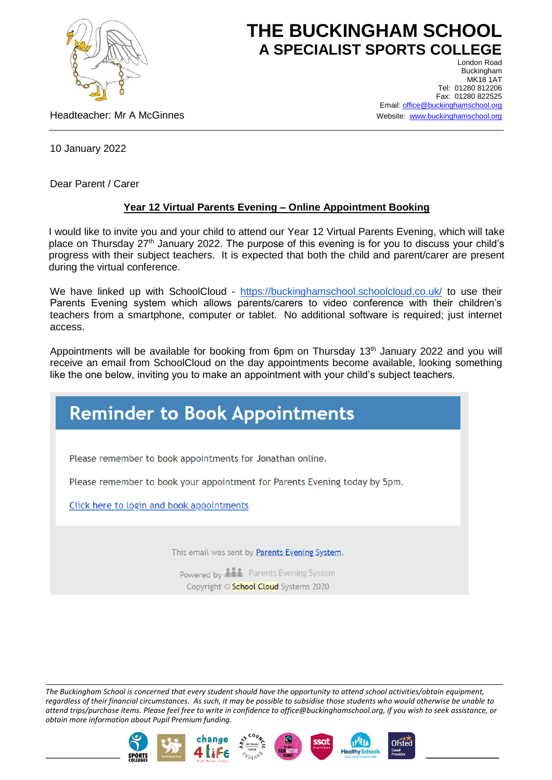

## **THE BUCKINGHAM SCHOOL A SPECIALIST SPORTS COLLEGE** London Road

Headteacher: Mr A McGinnes

Buckingham **MK18 1AT** Tel: 01280 812206 Fax: 01280 822525 Email[: office@buckinghamschool.org](mailto:office@buckinghamschool.org) Website: [www.buckinghamschool.org](http://www.buckinghamschool.org/)

10 January 2022

Dear Parent / Carer

## **Year 12 Virtual Parents Evening – Online Appointment Booking**

I would like to invite you and your child to attend our Year 12 Virtual Parents Evening, which will take place on Thursday 27<sup>th</sup> January 2022. The purpose of this evening is for you to discuss your child's progress with their subject teachers. It is expected that both the child and parent/carer are present during the virtual conference.

We have linked up with SchoolCloud - <https://buckinghamschool.schoolcloud.co.uk/> to use their Parents Evening system which allows parents/carers to video conference with their children's teachers from a smartphone, computer or tablet. No additional software is required; just internet access.

Appointments will be available for booking from 6pm on Thursday 13<sup>th</sup> January 2022 and you will receive an email from SchoolCloud on the day appointments become available, looking something like the one below, inviting you to make an appointment with your child's subject teachers.

## **Reminder to Book Appointments**

Please remember to book appointments for Jonathan online.

Please remember to book your appointment for Parents Evening today by 5pm.

Click here to login and book appointments

This email was sent by Parents Evening System.

Powered by **ALL** Parents Evening System Copyright © School Cloud Systems 2020

*The Buckingham School is concerned that every student should have the opportunity to attend school activities/obtain equipment, regardless of their financial circumstances. As such, it may be possible to subsidise those students who would otherwise be unable to attend trips/purchase items. Please feel free to write in confidence to office@buckinghamschool.org, if you wish to seek assistance, or obtain more information about Pupil Premium funding.*